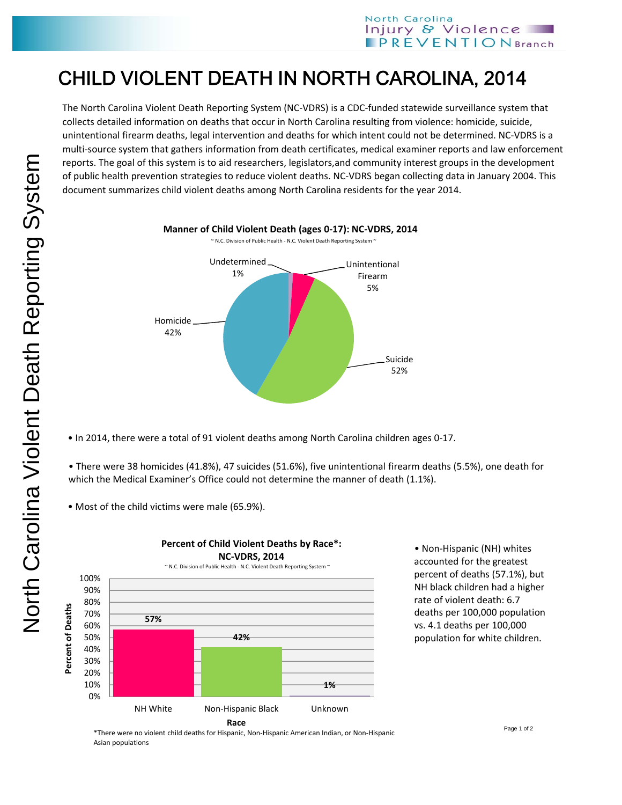## CHILD VIOLENT DEATH IN NORTH CAROLINA, 2014

The North Carolina Violent Death Reporting System (NC‐VDRS) is a CDC‐funded statewide surveillance system that collects detailed information on deaths that occur in North Carolina resulting from violence: homicide, suicide, unintentional firearm deaths, legal intervention and deaths for which intent could not be determined. NC‐VDRS is a multi‐source system that gathers information from death certificates, medical examiner reports and law enforcement reports. The goal of this system is to aid researchers, legislators,and community interest groups in the development of public health prevention strategies to reduce violent deaths. NC‐VDRS began collecting data in January 2004. This document summarizes child violent deaths among North Carolina residents for the year 2014.



• In 2014, there were a total of 91 violent deaths among North Carolina children ages 0‐17.

• There were 38 homicides (41.8%), 47 suicides (51.6%), five unintentional firearm deaths (5.5%), one death for which the Medical Examiner's Office could not determine the manner of death (1.1%).

• Most of the child victims were male (65.9%).



• Non‐Hispanic (NH) whites accounted for the greatest percent of deaths (57.1%), but NH black children had a higher rate of violent death: 6.7 deaths per 100,000 population vs. 4.1 deaths per 100,000 population for white children.

\*There were no violent child deaths for Hispanic, Non‐Hispanic American Indian, or Non‐Hispanic Asian populations